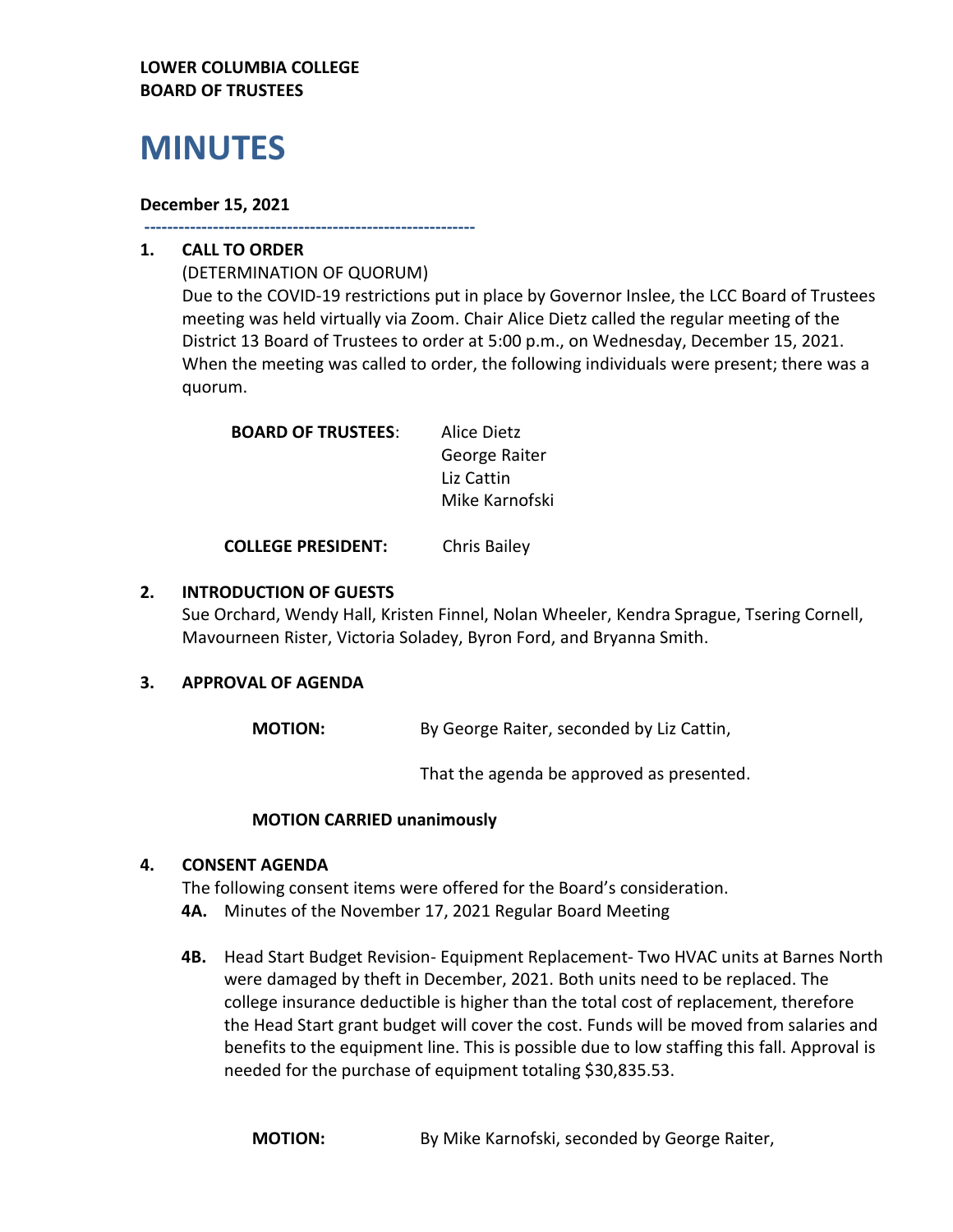## **LOWER COLUMBIA COLLEGE BOARD OF TRUSTEES**

# **MINUTES**

## **December 15, 2021**

**----------------------------------------------------------**

## **1. CALL TO ORDER**

(DETERMINATION OF QUORUM) Due to the COVID-19 restrictions put in place by Governor Inslee, the LCC Board of Trustees meeting was held virtually via Zoom. Chair Alice Dietz called the regular meeting of the District 13 Board of Trustees to order at 5:00 p.m., on Wednesday, December 15, 2021. When the meeting was called to order, the following individuals were present; there was a quorum.

| <b>BOARD OF TRUSTEES:</b> | Alice Dietz    |
|---------------------------|----------------|
|                           | George Raiter  |
|                           | Liz Cattin     |
|                           | Mike Karnofski |

**COLLEGE PRESIDENT:** Chris Bailey

## **2. INTRODUCTION OF GUESTS**

Sue Orchard, Wendy Hall, Kristen Finnel, Nolan Wheeler, Kendra Sprague, Tsering Cornell, Mavourneen Rister, Victoria Soladey, Byron Ford, and Bryanna Smith.

## **3. APPROVAL OF AGENDA**

**MOTION:** By George Raiter, seconded by Liz Cattin,

That the agenda be approved as presented.

## **MOTION CARRIED unanimously**

## **4. CONSENT AGENDA**

The following consent items were offered for the Board's consideration.

- **4A.** Minutes of the November 17, 2021 Regular Board Meeting
- **4B.** Head Start Budget Revision- Equipment Replacement- Two HVAC units at Barnes North were damaged by theft in December, 2021. Both units need to be replaced. The college insurance deductible is higher than the total cost of replacement, therefore the Head Start grant budget will cover the cost. Funds will be moved from salaries and benefits to the equipment line. This is possible due to low staffing this fall. Approval is needed for the purchase of equipment totaling \$30,835.53.

**MOTION:** By Mike Karnofski, seconded by George Raiter,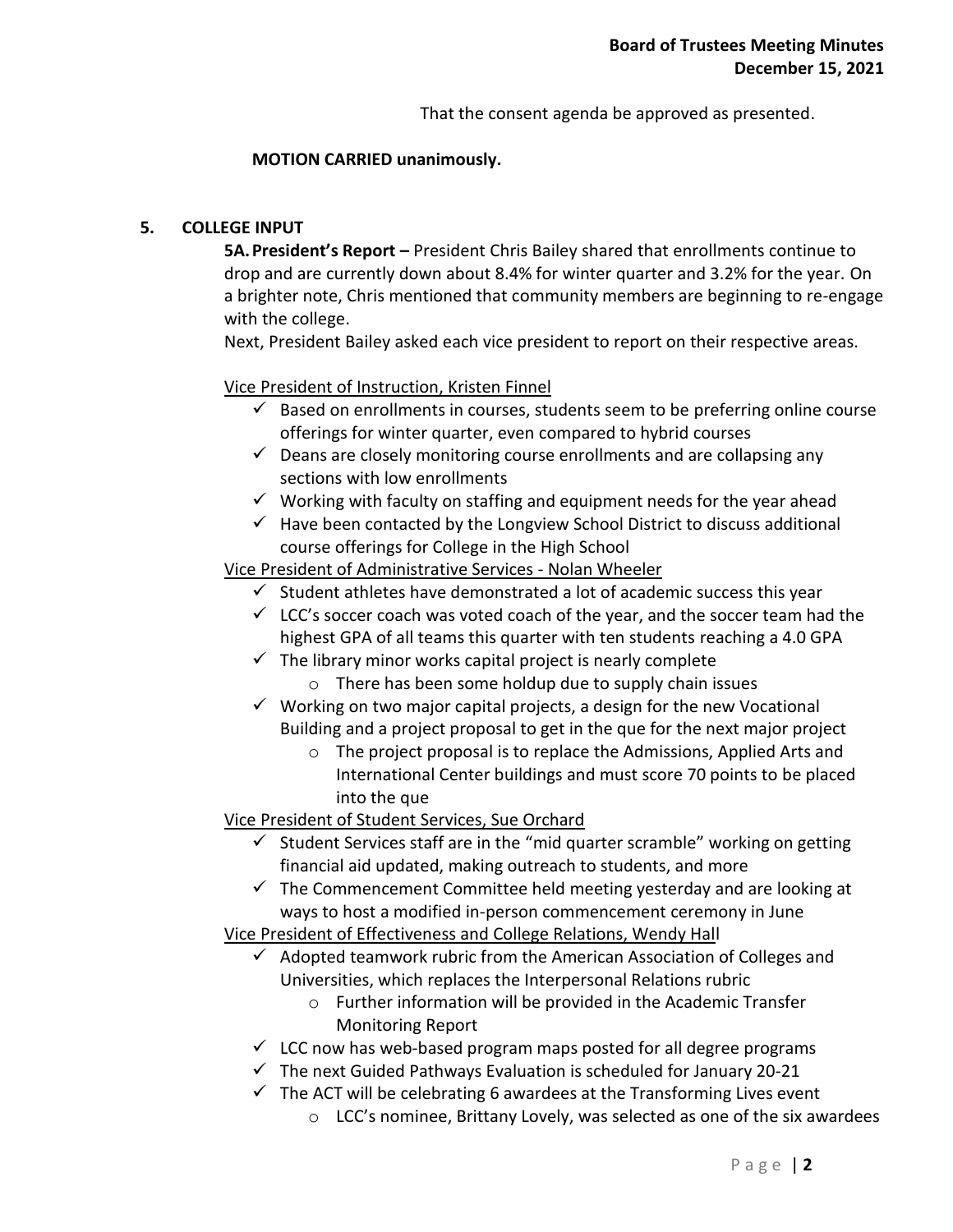That the consent agenda be approved as presented.

#### **MOTION CARRIED unanimously.**

## **5. COLLEGE INPUT**

**5A.President's Report –** President Chris Bailey shared that enrollments continue to drop and are currently down about 8.4% for winter quarter and 3.2% for the year. On a brighter note, Chris mentioned that community members are beginning to re-engage with the college.

Next, President Bailey asked each vice president to report on their respective areas.

#### Vice President of Instruction, Kristen Finnel

- $\checkmark$  Based on enrollments in courses, students seem to be preferring online course offerings for winter quarter, even compared to hybrid courses
- $\checkmark$  Deans are closely monitoring course enrollments and are collapsing any sections with low enrollments
- $\checkmark$  Working with faculty on staffing and equipment needs for the year ahead
- $\checkmark$  Have been contacted by the Longview School District to discuss additional course offerings for College in the High School

Vice President of Administrative Services - Nolan Wheeler

- $\checkmark$  Student athletes have demonstrated a lot of academic success this year
- $\checkmark$  LCC's soccer coach was voted coach of the year, and the soccer team had the highest GPA of all teams this quarter with ten students reaching a 4.0 GPA
- $\checkmark$  The library minor works capital project is nearly complete
	- o There has been some holdup due to supply chain issues
- $\checkmark$  Working on two major capital projects, a design for the new Vocational Building and a project proposal to get in the que for the next major project
	- o The project proposal is to replace the Admissions, Applied Arts and International Center buildings and must score 70 points to be placed into the que

Vice President of Student Services, Sue Orchard

- $\checkmark$  Student Services staff are in the "mid quarter scramble" working on getting financial aid updated, making outreach to students, and more
- $\checkmark$  The Commencement Committee held meeting yesterday and are looking at ways to host a modified in-person commencement ceremony in June

Vice President of Effectiveness and College Relations, Wendy Hall

- $\checkmark$  Adopted teamwork rubric from the American Association of Colleges and Universities, which replaces the Interpersonal Relations rubric
	- o Further information will be provided in the Academic Transfer Monitoring Report
- $\checkmark$  LCC now has web-based program maps posted for all degree programs
- $\checkmark$  The next Guided Pathways Evaluation is scheduled for January 20-21
- $\checkmark$  The ACT will be celebrating 6 awardees at the Transforming Lives event
	- $\circ$  LCC's nominee, Brittany Lovely, was selected as one of the six awardees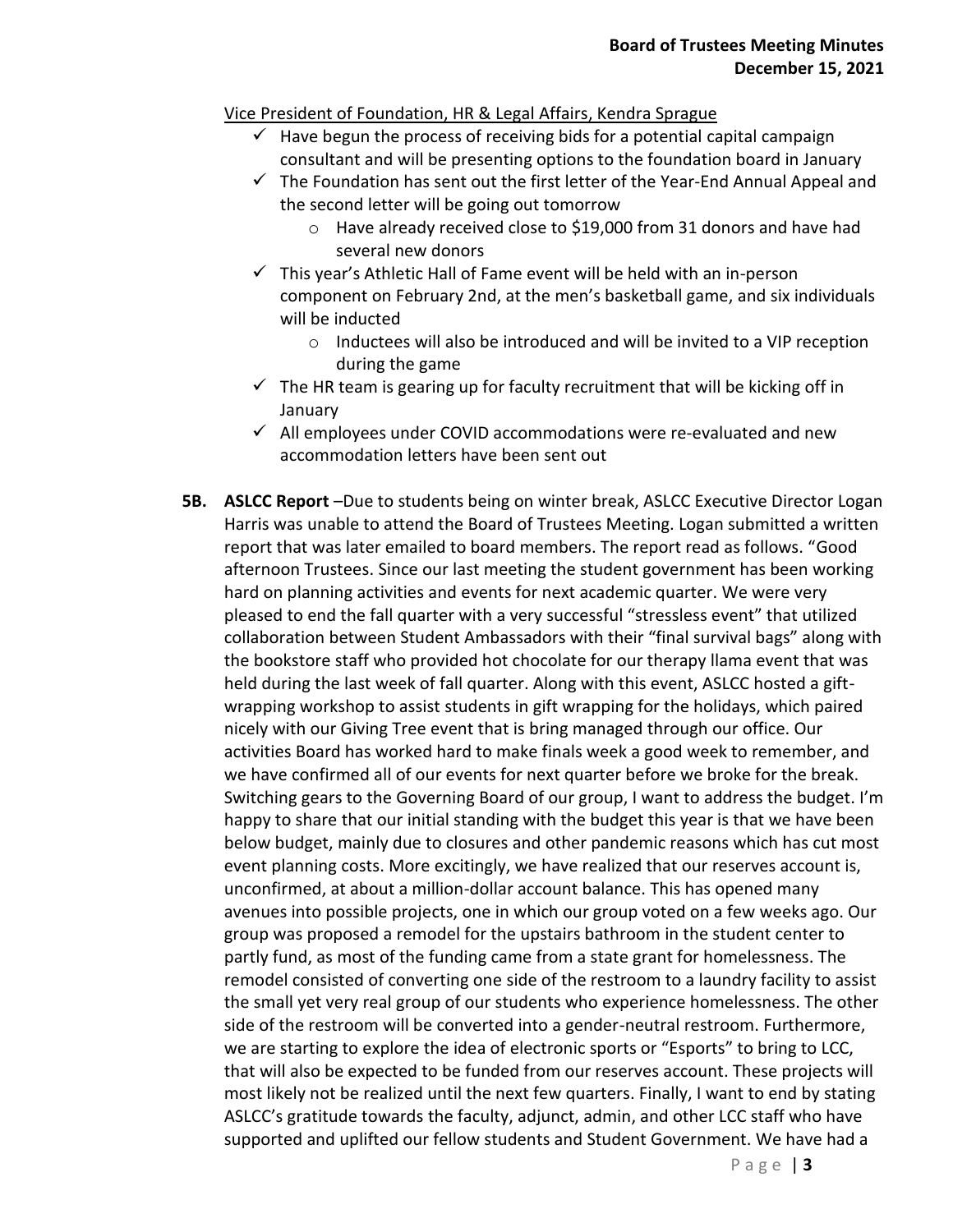## Vice President of Foundation, HR & Legal Affairs, Kendra Sprague

- $\checkmark$  Have begun the process of receiving bids for a potential capital campaign consultant and will be presenting options to the foundation board in January
- $\checkmark$  The Foundation has sent out the first letter of the Year-End Annual Appeal and the second letter will be going out tomorrow
	- o Have already received close to \$19,000 from 31 donors and have had several new donors
- $\checkmark$  This year's Athletic Hall of Fame event will be held with an in-person component on February 2nd, at the men's basketball game, and six individuals will be inducted
	- o Inductees will also be introduced and will be invited to a VIP reception during the game
- $\checkmark$  The HR team is gearing up for faculty recruitment that will be kicking off in **January**
- $\checkmark$  All employees under COVID accommodations were re-evaluated and new accommodation letters have been sent out
- **5B. ASLCC Report** –Due to students being on winter break, ASLCC Executive Director Logan Harris was unable to attend the Board of Trustees Meeting. Logan submitted a written report that was later emailed to board members. The report read as follows. "Good afternoon Trustees. Since our last meeting the student government has been working hard on planning activities and events for next academic quarter. We were very pleased to end the fall quarter with a very successful "stressless event" that utilized collaboration between Student Ambassadors with their "final survival bags" along with the bookstore staff who provided hot chocolate for our therapy llama event that was held during the last week of fall quarter. Along with this event, ASLCC hosted a giftwrapping workshop to assist students in gift wrapping for the holidays, which paired nicely with our Giving Tree event that is bring managed through our office. Our activities Board has worked hard to make finals week a good week to remember, and we have confirmed all of our events for next quarter before we broke for the break. Switching gears to the Governing Board of our group, I want to address the budget. I'm happy to share that our initial standing with the budget this year is that we have been below budget, mainly due to closures and other pandemic reasons which has cut most event planning costs. More excitingly, we have realized that our reserves account is, unconfirmed, at about a million-dollar account balance. This has opened many avenues into possible projects, one in which our group voted on a few weeks ago. Our group was proposed a remodel for the upstairs bathroom in the student center to partly fund, as most of the funding came from a state grant for homelessness. The remodel consisted of converting one side of the restroom to a laundry facility to assist the small yet very real group of our students who experience homelessness. The other side of the restroom will be converted into a gender-neutral restroom. Furthermore, we are starting to explore the idea of electronic sports or "Esports" to bring to LCC, that will also be expected to be funded from our reserves account. These projects will most likely not be realized until the next few quarters. Finally, I want to end by stating ASLCC's gratitude towards the faculty, adjunct, admin, and other LCC staff who have supported and uplifted our fellow students and Student Government. We have had a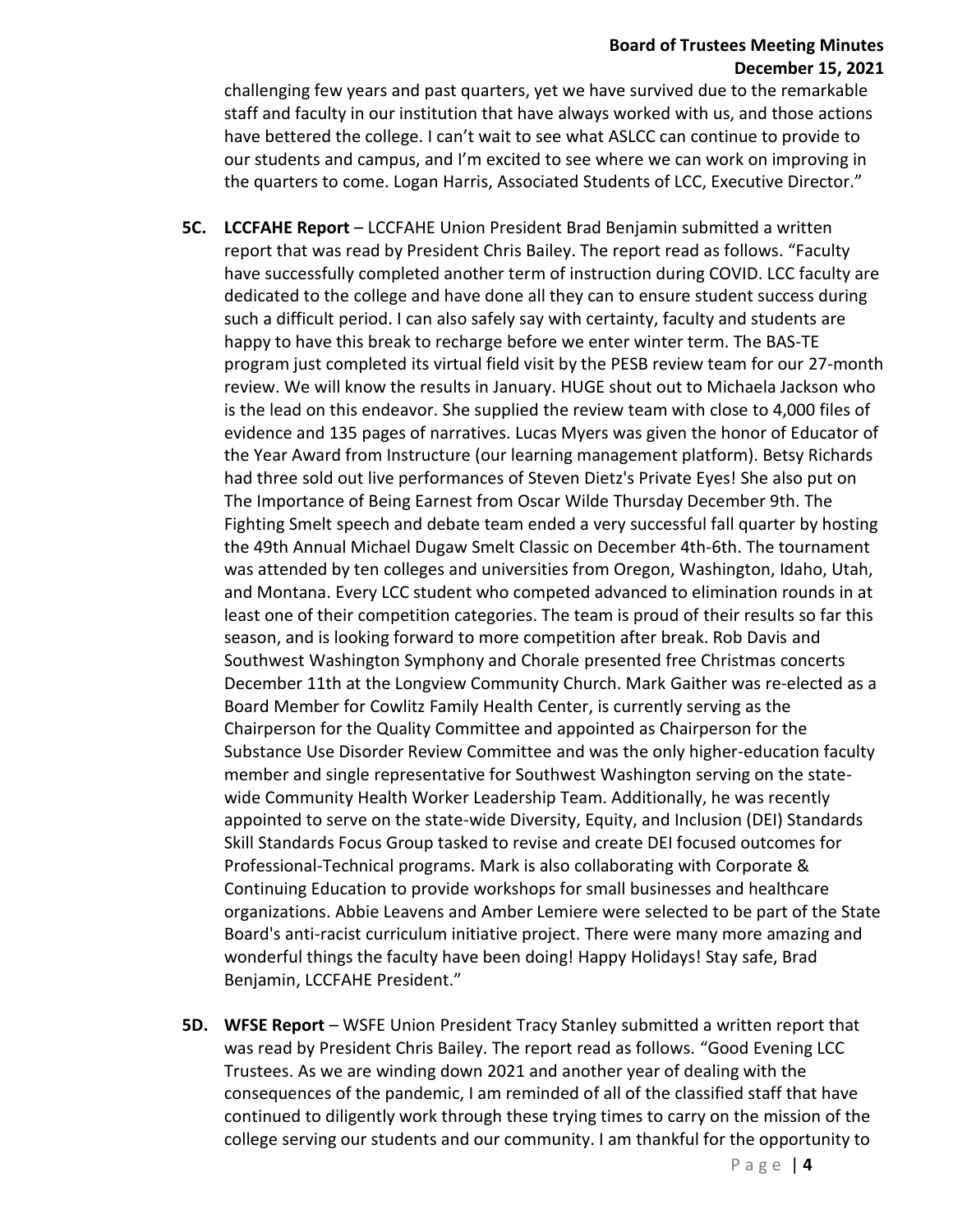#### **Board of Trustees Meeting Minutes December 15, 2021**

challenging few years and past quarters, yet we have survived due to the remarkable staff and faculty in our institution that have always worked with us, and those actions have bettered the college. I can't wait to see what ASLCC can continue to provide to our students and campus, and I'm excited to see where we can work on improving in the quarters to come. Logan Harris, Associated Students of LCC, Executive Director."

- **5C. LCCFAHE Report** LCCFAHE Union President Brad Benjamin submitted a written report that was read by President Chris Bailey. The report read as follows. "Faculty have successfully completed another term of instruction during COVID. LCC faculty are dedicated to the college and have done all they can to ensure student success during such a difficult period. I can also safely say with certainty, faculty and students are happy to have this break to recharge before we enter winter term. The BAS-TE program just completed its virtual field visit by the PESB review team for our 27-month review. We will know the results in January. HUGE shout out to Michaela Jackson who is the lead on this endeavor. She supplied the review team with close to 4,000 files of evidence and 135 pages of narratives. Lucas Myers was given the honor of Educator of the Year Award from Instructure (our learning management platform). Betsy Richards had three sold out live performances of Steven Dietz's Private Eyes! She also put on The Importance of Being Earnest from Oscar Wilde Thursday December 9th. The Fighting Smelt speech and debate team ended a very successful fall quarter by hosting the 49th Annual Michael Dugaw Smelt Classic on December 4th-6th. The tournament was attended by ten colleges and universities from Oregon, Washington, Idaho, Utah, and Montana. Every LCC student who competed advanced to elimination rounds in at least one of their competition categories. The team is proud of their results so far this season, and is looking forward to more competition after break. Rob Davis and Southwest Washington Symphony and Chorale presented free Christmas concerts December 11th at the Longview Community Church. Mark Gaither was re-elected as a Board Member for Cowlitz Family Health Center, is currently serving as the Chairperson for the Quality Committee and appointed as Chairperson for the Substance Use Disorder Review Committee and was the only higher-education faculty member and single representative for Southwest Washington serving on the statewide Community Health Worker Leadership Team. Additionally, he was recently appointed to serve on the state-wide Diversity, Equity, and Inclusion (DEI) Standards Skill Standards Focus Group tasked to revise and create DEI focused outcomes for Professional-Technical programs. Mark is also collaborating with Corporate & Continuing Education to provide workshops for small businesses and healthcare organizations. Abbie Leavens and Amber Lemiere were selected to be part of the State Board's anti-racist curriculum initiative project. There were many more amazing and wonderful things the faculty have been doing! Happy Holidays! Stay safe, Brad Benjamin, LCCFAHE President."
- **5D. WFSE Report** WSFE Union President Tracy Stanley submitted a written report that was read by President Chris Bailey. The report read as follows. "Good Evening LCC Trustees. As we are winding down 2021 and another year of dealing with the consequences of the pandemic, I am reminded of all of the classified staff that have continued to diligently work through these trying times to carry on the mission of the college serving our students and our community. I am thankful for the opportunity to